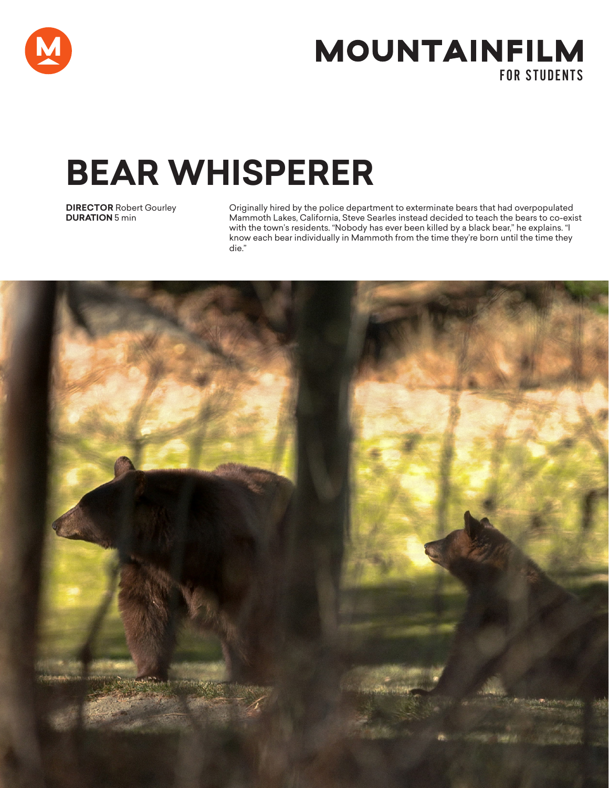

# **MOUNTAINFILM** FOR STUDENTS

# **BEAR WHISPERER**

**DIRECTOR** Robert Gourley **DURATION** 5 min

Originally hired by the police department to exterminate bears that had overpopulated Mammoth Lakes, California, Steve Searles instead decided to teach the bears to co-exist with the town's residents. "Nobody has ever been killed by a black bear," he explains. "I know each bear individually in Mammoth from the time they're born until the time they die."

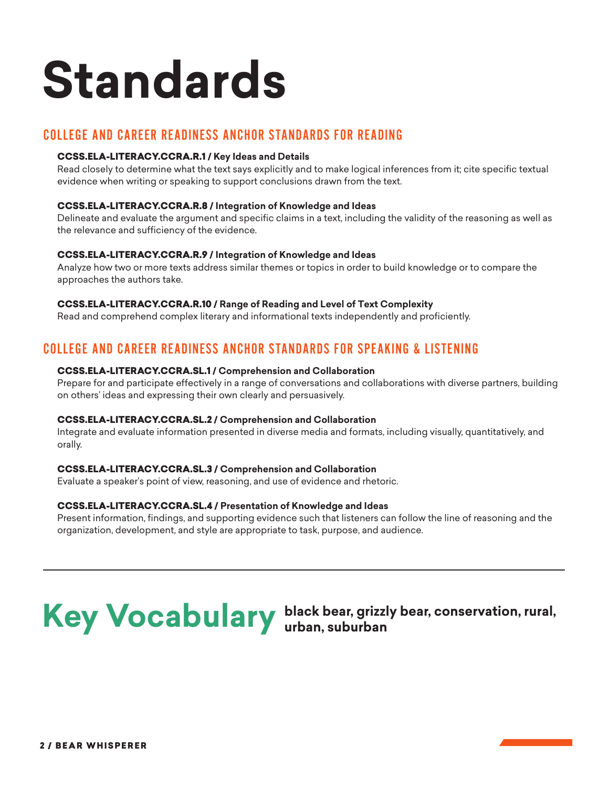# **Standards**

## COLLEGE AND CAREER READINESS ANCHOR STANDARDS FOR READING

### CCSS.ELA-LITERACY.CCRA.R.1 **/ Key Ideas and Details**

Read closely to determine what the text says explicitly and to make logical inferences from it; cite specific textual evidence when writing or speaking to support conclusions drawn from the text.

#### CCSS.ELA-LITERACY.CCRA.R.8 **/ Integration of Knowledge and Ideas**

Delineate and evaluate the argument and specific claims in a text, including the validity of the reasoning as well as the relevance and sufficiency of the evidence.

#### CCSS.ELA-LITERACY.CCRA.R.9 **/ Integration of Knowledge and Ideas**

Analyze how two or more texts address similar themes or topics in order to build knowledge or to compare the approaches the authors take.

#### CCSS.ELA-LITERACY.CCRA.R.10 **/ Range of Reading and Level of Text Complexity**

Read and comprehend complex literary and informational texts independently and proficiently.

## COLLEGE AND CAREER READINESS ANCHOR STANDARDS FOR SPEAKING & LISTENING

#### CCSS.ELA-LITERACY.CCRA.SL.1 **/ Comprehension and Collaboration**

Prepare for and participate effectively in a range of conversations and collaborations with diverse partners, building on others' ideas and expressing their own clearly and persuasively.

#### CCSS.ELA-LITERACY.CCRA.SL.2 **/ Comprehension and Collaboration**

Integrate and evaluate information presented in diverse media and formats, including visually, quantitatively, and orally.

### CCSS.ELA-LITERACY.CCRA.SL.3 **/ Comprehension and Collaboration**

Evaluate a speaker's point of view, reasoning, and use of evidence and rhetoric.

### CCSS.ELA-LITERACY.CCRA.SL.4 **/ Presentation of Knowledge and Ideas**

Present information, findings, and supporting evidence such that listeners can follow the line of reasoning and the organization, development, and style are appropriate to task, purpose, and audience.



# Key Vocabulary **black bear, grizzly bear, conservation, rural,**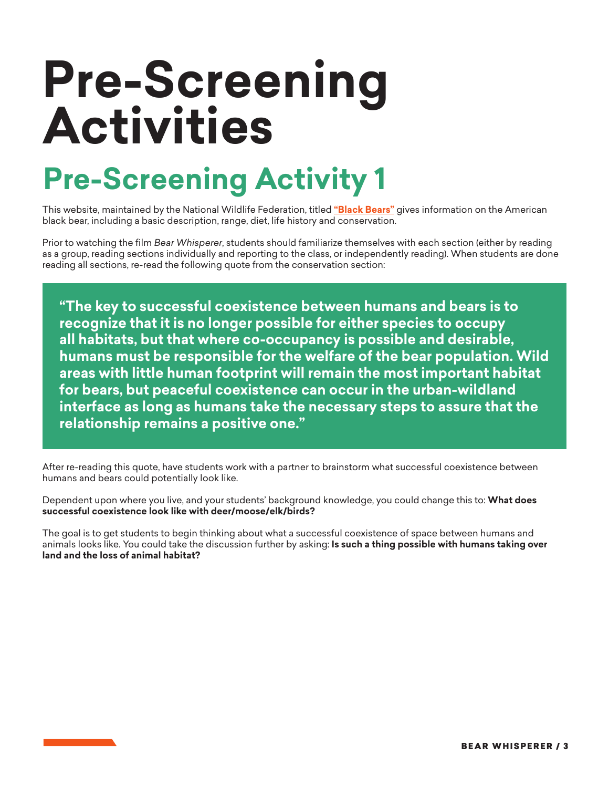# **Pre-Screening Activities**

# **Pre-Screening Activity 1**

This website, maintained by the National Wildlife Federation, titled **["Black Bears"](https://www.nwf.org/Educational-Resources/Wildlife-Guide/Mammals/Black-Bear)** gives information on the American black bear, including a basic description, range, diet, life history and conservation.

Prior to watching the film *Bear Whisperer*, students should familiarize themselves with each section (either by reading as a group, reading sections individually and reporting to the class, or independently reading). When students are done reading all sections, re-read the following quote from the conservation section:

**"The key to successful coexistence between humans and bears is to recognize that it is no longer possible for either species to occupy all habitats, but that where co-occupancy is possible and desirable, humans must be responsible for the welfare of the bear population. Wild areas with little human footprint will remain the most important habitat for bears, but peaceful coexistence can occur in the urban-wildland interface as long as humans take the necessary steps to assure that the relationship remains a positive one."**

After re-reading this quote, have students work with a partner to brainstorm what successful coexistence between humans and bears could potentially look like.

Dependent upon where you live, and your students' background knowledge, you could change this to: **What does successful coexistence look like with deer/moose/elk/birds?**

The goal is to get students to begin thinking about what a successful coexistence of space between humans and animals looks like. You could take the discussion further by asking: **Is such a thing possible with humans taking over land and the loss of animal habitat?**

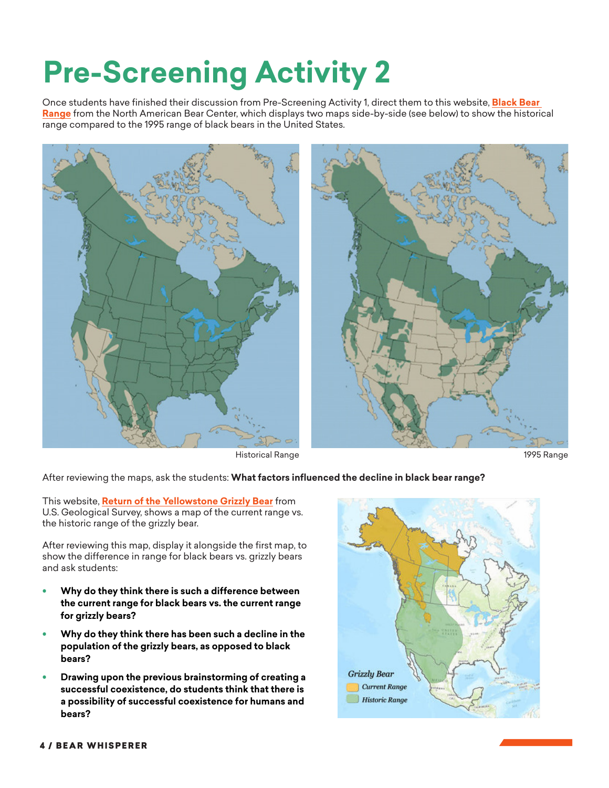# **Pre-Screening Activity 2**

Once students have finished their discussion from Pre-Screening Activity 1, direct them to this website, **[Black Bear](https://bear.org/black-bear-range/)  [Range](https://bear.org/black-bear-range/)** from the North American Bear Center, which displays two maps side-by-side (see below) to show the historical range compared to the 1995 range of black bears in the United States.



Historical Range 1995 Range



#### After reviewing the maps, ask the students: **What factors influenced the decline in black bear range?**

This website, **[Return of the Yellowstone Grizzly Bear](https://www.usgs.gov/news/return-yellowstone-grizzly-bear?qt-news_science_products=1#qt-news_science_products)** from U.S. Geological Survey, shows a map of the current range vs. the historic range of the grizzly bear.

After reviewing this map, display it alongside the first map, to show the difference in range for black bears vs. grizzly bears and ask students:

- **• Why do they think there is such a difference between the current range for black bears vs. the current range for grizzly bears?**
- **• Why do they think there has been such a decline in the population of the grizzly bears, as opposed to black bears?**
- **• Drawing upon the previous brainstorming of creating a successful coexistence, do students think that there is a possibility of successful coexistence for humans and bears?**

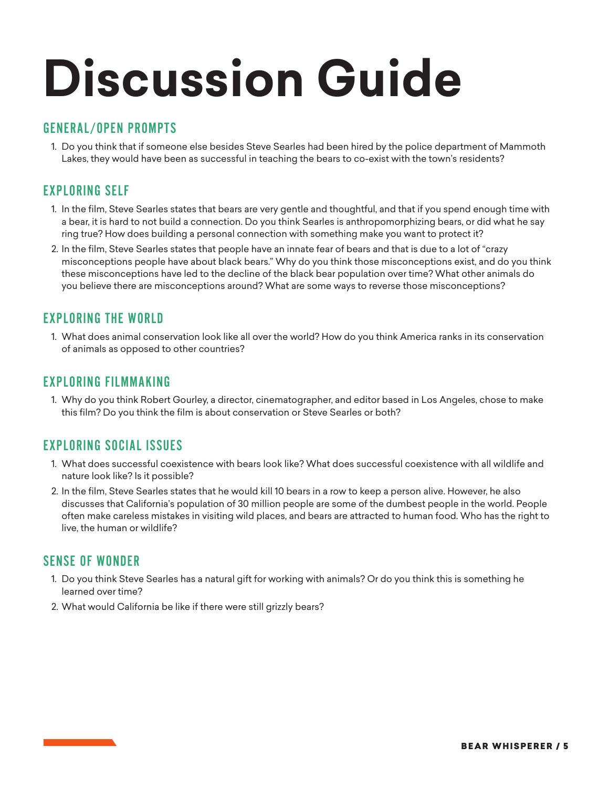# **Discussion Guide**

### GENERAL/OPEN PROMPTS

1. Do you think that if someone else besides Steve Searles had been hired by the police department of Mammoth Lakes, they would have been as successful in teaching the bears to co-exist with the town's residents?

## EXPLORING SELF

- 1. In the film, Steve Searles states that bears are very gentle and thoughtful, and that if you spend enough time with a bear, it is hard to not build a connection. Do you think Searles is anthropomorphizing bears, or did what he say ring true? How does building a personal connection with something make you want to protect it?
- 2. In the film, Steve Searles states that people have an innate fear of bears and that is due to a lot of "crazy misconceptions people have about black bears." Why do you think those misconceptions exist, and do you think these misconceptions have led to the decline of the black bear population over time? What other animals do you believe there are misconceptions around? What are some ways to reverse those misconceptions?

## EXPLORING THE WORLD

1. What does animal conservation look like all over the world? How do you think America ranks in its conservation of animals as opposed to other countries?

### EXPLORING FILMMAKING

1. Why do you think Robert Gourley, a director, cinematographer, and editor based in Los Angeles, chose to make this film? Do you think the film is about conservation or Steve Searles or both?

### EXPLORING SOCIAL ISSUES

- 1. What does successful coexistence with bears look like? What does successful coexistence with all wildlife and nature look like? Is it possible?
- 2. In the film, Steve Searles states that he would kill 10 bears in a row to keep a person alive. However, he also discusses that California's population of 30 million people are some of the dumbest people in the world. People often make careless mistakes in visiting wild places, and bears are attracted to human food. Who has the right to live, the human or wildlife?

## SENSE OF WONDER

- 1. Do you think Steve Searles has a natural gift for working with animals? Or do you think this is something he learned over time?
- 2. What would California be like if there were still grizzly bears?

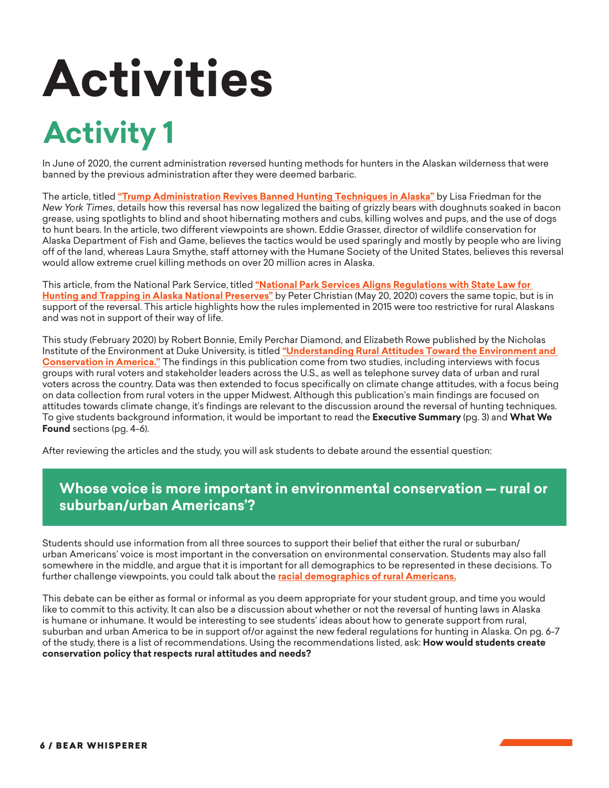# **Activities**

# **Activity 1**

In June of 2020, the current administration reversed hunting methods for hunters in the Alaskan wilderness that were banned by the previous administration after they were deemed barbaric.

The article, titled **["Trump Administration Revives Banned Hunting Techniques in Alaska"](https://www.nytimes.com/2020/06/09/climate/trump-bear-hunting.html?searchResultPosition=7)** by Lisa Friedman for the *New York Times*, details how this reversal has now legalized the baiting of grizzly bears with doughnuts soaked in bacon grease, using spotlights to blind and shoot hibernating mothers and cubs, killing wolves and pups, and the use of dogs to hunt bears. In the article, two different viewpoints are shown. Eddie Grasser, director of wildlife conservation for Alaska Department of Fish and Game, believes the tactics would be used sparingly and mostly by people who are living off of the land, whereas Laura Smythe, staff attorney with the Humane Society of the United States, believes this reversal would allow extreme cruel killing methods on over 20 million acres in Alaska.

This article, from the National Park Service, titled **["National Park Services Aligns Regulations with State Law for](https://www.nps.gov/orgs/1840/national-park-service-aligns-regulations-with-state-law-for-hunting-and-trapping-in-alaska-national-preserves.htm)  [Hunting and Trapping in Alaska National Preserves"](https://www.nps.gov/orgs/1840/national-park-service-aligns-regulations-with-state-law-for-hunting-and-trapping-in-alaska-national-preserves.htm)** by Peter Christian (May 20, 2020) covers the same topic, but is in support of the reversal. This article highlights how the rules implemented in 2015 were too restrictive for rural Alaskans and was not in support of their way of life.

This study (February 2020) by Robert Bonnie, Emily Perchar Diamond, and Elizabeth Rowe published by the Nicholas Institute of the Environment at Duke University, is titled **["Understanding Rural Attitudes Toward the Environment and](https://nicholasinstitute.duke.edu/sites/default/files/publications/understanding-rural-attitudes-toward-environment-conservation-america.pdf)  [Conservation in America."](https://nicholasinstitute.duke.edu/sites/default/files/publications/understanding-rural-attitudes-toward-environment-conservation-america.pdf)** The findings in this publication come from two studies, including interviews with focus groups with rural voters and stakeholder leaders across the U.S., as well as telephone survey data of urban and rural voters across the country. Data was then extended to focus specifically on climate change attitudes, with a focus being on data collection from rural voters in the upper Midwest. Although this publication's main findings are focused on attitudes towards climate change, it's findings are relevant to the discussion around the reversal of hunting techniques. To give students background information, it would be important to read the **Executive Summary** (pg. 3) and **What We Found** sections (pg. 4-6).

After reviewing the articles and the study, you will ask students to debate around the essential question:

# **Whose voice is more important in environmental conservation — rural or suburban/urban Americans'?**

Students should use information from all three sources to support their belief that either the rural or suburban/ urban Americans' voice is most important in the conversation on environmental conservation. Students may also fall somewhere in the middle, and argue that it is important for all demographics to be represented in these decisions. To further challenge viewpoints, you could talk about the **[racial demographics of rural Americans.](http://www.ruralhome.org/storage/research_notes/rrn-race-and-ethnicity-web.pdf)**

This debate can be either as formal or informal as you deem appropriate for your student group, and time you would like to commit to this activity. It can also be a discussion about whether or not the reversal of hunting laws in Alaska is humane or inhumane. It would be interesting to see students' ideas about how to generate support from rural, suburban and urban America to be in support of/or against the new federal regulations for hunting in Alaska. On pg. 6-7 of the study, there is a list of recommendations. Using the recommendations listed, ask: **How would students create conservation policy that respects rural attitudes and needs?**